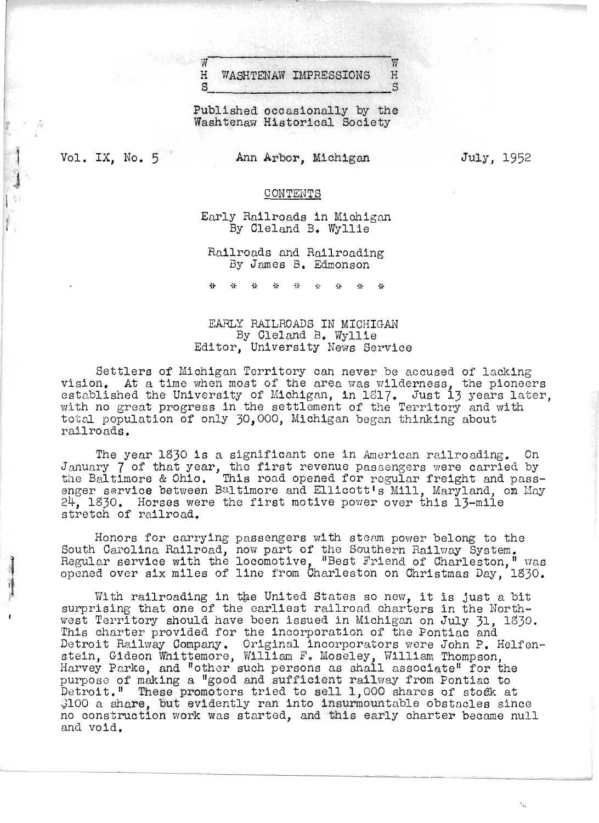## $\begin{array}{ll}\n\mathbb{W} & \mathbb{W} \\
\hline\n\mathbb{H} & \mathbb{W} \\
\mathbb{H} & \mathbb{W} \\
\mathbb{W} & \mathbb{W} \\
\mathbb{W} & \mathbb{W} \\
\end{array}$  $S$

where the contract of  $\mathbb{W}$ 

Published occasionally by the Washtenaw Historical Society

Vol. IX, No. 5

",

 $\ddot{\phantom{1}}$ 

j

Ann Arbor, Michigan

July, 1952

#### CONTENTS

Early Railroads in Michigan By Cleland B. Wyllie

Railroads and Railroading By James B. Edmonson

\* \* \* w \* \* \* \* \*

# EARLY RAILROADS IN MICHIGAN By Cleland B. Wyllie Editor, University News Service

Settlers of Michigan Territory can never be accused of lacking<br>Vision. At a time when most of the area was wilderness, the pioneers<br>stablished the University of Michigan, in 1817. Just 13 years later, stablished the university of michigan, in form, Just 13 years fate<br>ith no great progress in the settlement of the Territory and with total population of only 30,000, Michigan began thinking about railroads.

The year 1330 is a significant one in American railroading. On The year 1830 is a significant one in American railroading. On<br>anuary 7 of that year, the first revenue passengers were carried by<br>he Baltimore & Ohio. This road opened for regular freight and passhe Baltimore & Ohio. This road opened for regular freight and pass-<br>nger service between Baltimore and Ellicott's Mill. Maryland, on May nger service between Baltimore and Ellicott's Mill, Maryland, of<br>4. 1830. Horses were the first motive power over this 13-mile  $24$ , 1830. Horses were the first motive power over this 13-mile stretch of railroad.

Honors for carrying passengers with steam power belong to the nonors for carrying passengers with steam power befong to the<br>South Carolina Railroad, now part of the Southern Railway System.<br>Regular service with the locomotive, "Best Friend of Charleston," was eguiar service with the locomotive, "best friend of Unarleston," was<br>pened over six miles of line from Charleston on Christmas Day, 1830.

With railroading in the United States so new, it is just a bit with railroading in the United States so new, it is just a oit<br>-urorising that one of the earliest railroad charters in the North west Territory should have been issued in Michigan on July 31, 1330.  $\mathbb{R}^3$  is territory should have been issued in michigan on July  $\mathfrak{z}_1$ , . Detroit Railway Company. Original incorporators were John P. Helfenetrolt nailway tompany. Original incorporators were John F. ne<br>tein, Gideon Whittemore, William F. Moseley, William Thompson, Hein, Gideon whittemore, william F. Moseley, william inompson,<br>larvey Parke, and "other such persons as shall associate" for the arvey rarke, and "other such persons as shall associate" for the<br>urpose of making a "good and sufficient railway from Pontiac to urpose of making a "good and surricient railway from rontiac to<br>etroit." These promoters tried to sell 1,000 shares of stock at etrolt." These promoters tried to sell 1,000 shares of stock at<br>100 a share, but evidently ran into insurmountable obstacles since \$100 a share, but evidently ran into insurmountable obstacles since no construction work was started, and this early charter became null and void.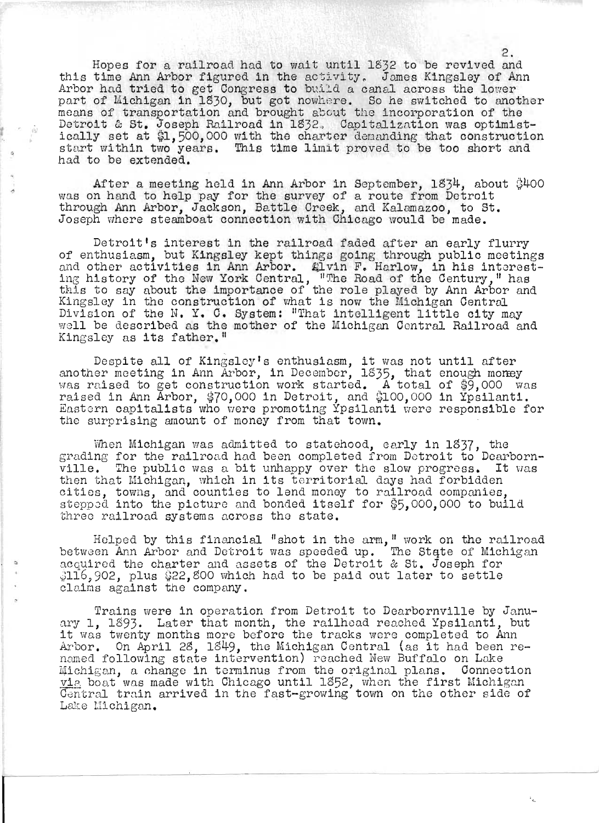Hopes for a railroad had to wait until 1832 to be revived and this time Ann Arbor figured in the activity. Jomes Kingsley of Ann Arbor had tried to get Congress to build a canal across the lower part of Michigan in 1830, but got nowhere. So he switched to another means of transportation and brought about the incorporation of the Detroit & St. Joseph Railroad in 1832. Capitalization was optimist-<br>ically set at \$1,500,000 with the charter demanding that construction start within two years. This time limit proved to be too short and had to be extended.

After a meeting held in Ann Arbor in September,  $1834$ , about  $$400$ was on hand to help pay for the survey of a route from Detroit through Ann Arbor, Jackson, Battle Creek, and Kalamazoo, to St. Joseph where steamboat connection with Chicago would be made.

Detroit's interest in the railroad faded after an early flurry<br>of enthusiasm, but Kingsley kept things going through public meetings of enthusiasm, but Kingsley kept things going through public meetings<br>and other activities in Ann Arbor. <br>«lvin F. Harlow, in his interesting history of the New York Central, "The Road of the Century," has this to say about the importance of the role played by Ann Arbor and Kingsley in the construction of what is *novi* the Michigan Central Division of the N. Y. C. System: "That intelligent little city may well be described as the mother of the Michigan Central Railroad and Kingsley as its father.<sup>"</sup>

 $\Omega$ espite all of Kingsley's enthusiasm, it was not until after another meeting in Ann Arbor, in December, 1835, that enough money who where meeting in Ann Arbor, in Becember, 1899, that enough money<br>was raised to get construction work started. A total of \$9,000 was raised in Ann Arbor, \$70,000 in Detroit, and \$100,000 in Ypsilanti. Eastern capitalists who were promoting Ypsilanti were responsible for the surprising amount of money from that town.

Then Michigan was admitted to statehood, early in 1837, the when michigan was admitted to statenood, early in 1897, the<br>srading for the railroad had been completed from Detroit to Dearbornville. The public was a bit unhappy over the slow progress. It was then that Michigan, which in its torritorial days had forbidden cities, towns, and counties to lend money to railroad companies, stepped into the picture and bonded itself for \$5,000,000 to build three railroad systems across the state.

Helped by this financial "shot in the arm," work on the railroad between Ann Arbor and Detroit was speeded up. The State of Michigan acquired the charter and assets of the Detroit & St. Joseph for \$116,902, plus \$22,800 which had to be paid out later to settle claims against the company.

Trains were in operation from Detroit to Dearbornville by January 1, 1893. Later that month, the railhoad reached Ypsilanti, but it was twenty months more before the tracks were completed to Ann it was twenty months more before the tracks were completed to Ann<br>Arbor. On April 28, 1849, the Michigan Central (as it had been rearbor. On April 28, 1849, the michigan central (as it had been<br>named following state intervention) reached New Buffalo on Lake Michigan, a change in terminus from the original plans. Connection vis boat was made with Chicago until 1852, when the first Michigan Central train arrived in the fast-growing town on the other side of Lake Michigan.

2.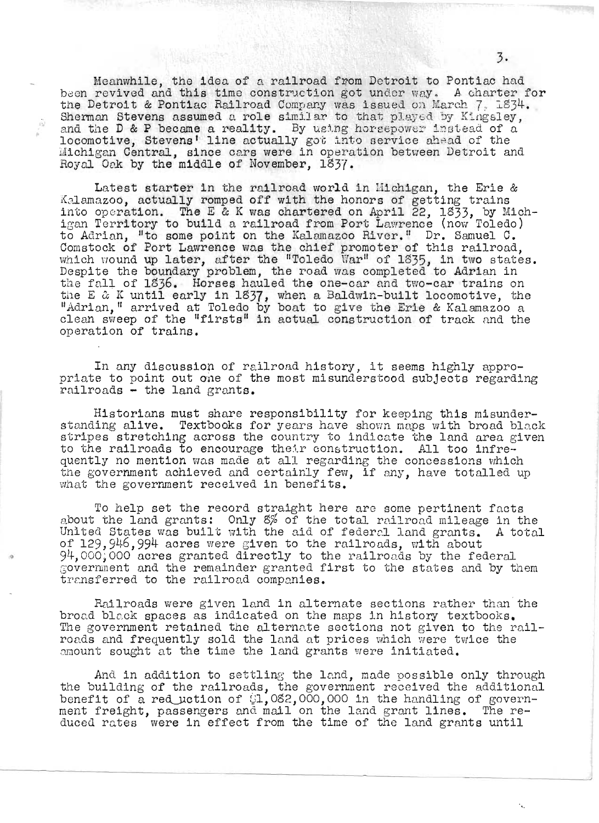Meanwhile, the idea of a railroad from Detroit to Pontiac had been revived and this time construction got under way. A charter for<br>the Detroit & Pontiac Railroad Company was issued on March 7, 1834.<br>Sherman Stevens assumed a role similar to that played by Kingsley, and the D & P became a reality. By using horsepower instead of a locomotive, Stevens' line actually got into service ahead of the Michigan Central, since cars were in operation between Detroit and Royal Oak by the middle of November. 1837.

Latest starter in the railroad world in Michigan, the Erie & Kalamazoo, actually romped off with the honors of getting trains into operation. The E & K was chartered on April 22, 1833, by Michigan Territory to build a railroad from Port Lawrence (now Toledo) to Adrian, "to some point on the Kalamazoo River." Dr. Samuel C.<br>Comstock of Port Lawrence was the chief promoter of this railroad,<br>which wound up later, after the "Toledo War" of 1835, in two states.<br>Despite the boundary the fall of 1836. Horses hauled the one-car and two-car trains on the E & K until early in 1837, when a Baldwin-built locomotive, the<br>"Adrian," arrived at Toledo by boat to give the Erie & Kalamazoo a<br>clean sweep of the "firsts" in actual construction of track and the operation of trains.

In any discussion of railroad history, it seems highly appropriate to point out one of the most misunderstood subjects regarding railroads - the land grants.

Historians must share responsibility for keeping this misunderstanding alive. Textbooks for years have shown maps with broad black stripes stretching across the country to indicate the land area given to the railroads to encourage their construction. All too infrequently no mention was made at all regarding the concessions which<br>the government achieved and certainly few, if any, have totalled up what the government received in benefits.

To help set the record straight here are some pertinent facts about the land grants: Only 8% of the total railroad mileage in the United States was built with the aid of federal land grants. A total of 129, 946, 994 acres were given to the railroads, with about 94,000,000 acres granted directly to the railroads by the federal government and the remainder granted first to the states and by them transferred to the railroad companies.

Railroads were given land in alternate sections rather than the broad black spaces as indicated on the maps in history textbooks. The government retained the alternate sections not given to the railroads and frequently sold the land at prices which were twice the amount sought at the time the land grants were initiated.

And in addition to settling the land, made possible only through the building of the railroads, the government received the additional benefit of a reduction of  $1.082,000,000$  in the handling of government freight, passengers and mail on the land grant lines. The reduced rates were in effect from the time of the land grants until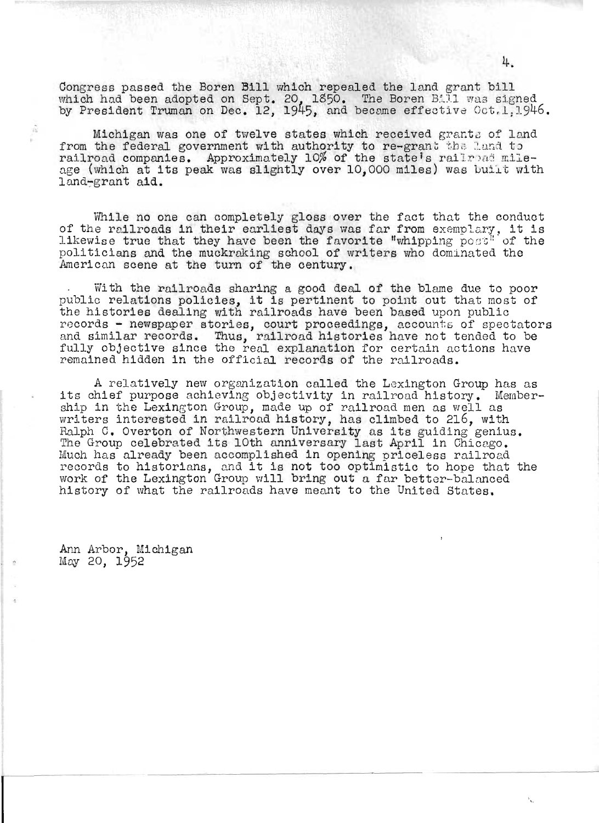Congress passed the Boren Bill which repealed the land grant bill which had been adopted on Sept. 20, 1850. The Boren Bill was signed by President Truman on Dec. 12, 1945, and became effective Oct.1,1946.

Michigan was one of twelve states which received grants of land from the federal government with authority to re-grant the land to railroad companies. Approximately 10% of the state's railroad mileranifond companies. Approximately fow of the state's raffroad mile-<br>age (which at its peak was slightly over 10,000 miles) was built with land~grant aid.

While no one can completely gloss over the fact that the conduct of the railroads in their earliest days was far from exemplary, it is likewise true that they have been the favorite "whipping post" of the politicians and the muckraking school of writers who dominated the American scene at the turn of the century.

With the railroads sharing a good deal of the blame due to poor with the railroads sharing a good deal of the blame due to poor<br>public relations policies, it is pertinent to point out that most of the histories dealing with railroads have been based upon public records - newspaper stories, court proceedings, accounts of spectators and similar records. Thus, railroad histories have not tended to be fully objective since the real explanation for certain actions have remained hidden in the official records of the railroads.

A relatively new organization called the Lexington Group has as A relatively new organization called the Bexington Group has as<br>its chief purpose achieving objectivity in railroad history. Membership in the Lexington Group, made up of railroad men as well as writers interested in railroad history, has climbed to 216, with Ralph C. Overton of Northwestern University as its guiding genius.<br>The Group celebrated its 10th anniversary last April in Chicago.<br>Much has already been accomplished in opening priceless railroad auch has already been accomplished in opening priceless railroad<br>records to historians, and it is not too optimistic to hope that the work of the Lexington Group will bring out a far better-balanced history of what the railroads have meant to the United States.

Ann Arbor, Michigan  $May 20, 1952$ 

ŵ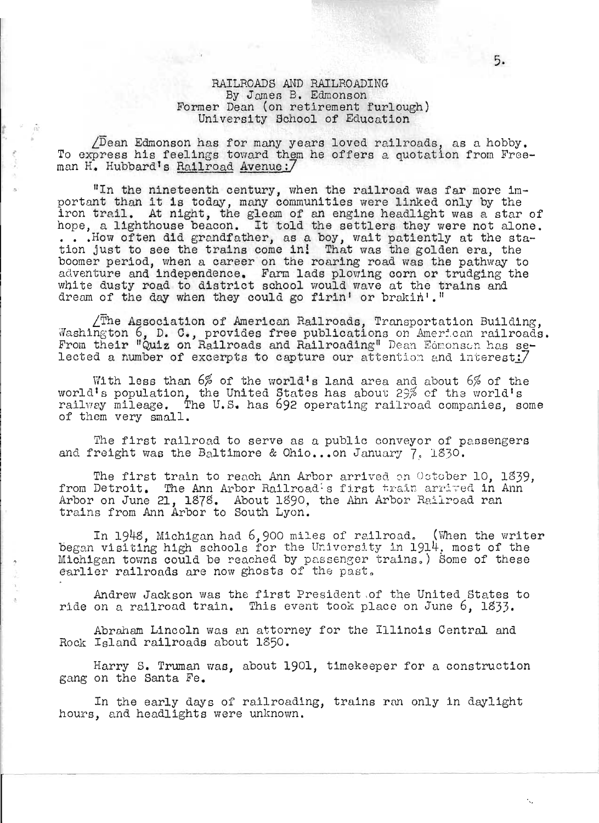### RAILROADS AND RAILROADING By James B. Edmonson Former Dean (on retirement furlough) Uni versi ty School of Education

 $\sqrt{D}$ ean Edmonson has for many years loved railroads, as a hobby. To express his feelings toward them he offers a quotation from Freeman H. Hubbard's Railroad Avenue: 7

o

 $\frac{1}{\alpha}$ 

"In the nineteenth century, when the railroad was far more important than it is today, many communities were linked only by the portant than 10 is today, many communities were finked only by the iron trail. At night, the gleam of an engine headlight was a star of hope, a lighthouse beacon. It told the settlers they were not alone. ... How often did grandfather, as a boy, wait patiently at the station just to see the trains come in! That was the golden era, the boomer period, when a career on the roaring road was the pathway to adventure and independence. Fam lads plowing corn or trudging the white dusty road to district school would wave at the trains and dream of the day when they could go firin' or brakin'. "

 $\angle$ The Association of American Railroads, Transportation Building, Washington 6, D. C., provides free publications on American railroads. From their "Quiz on Railroads and Railroading" Dean Edmonson has selected a number of excerpts to capture our attention and interest!7

With less than  $6%$  of the world's land area and about  $6%$  of the world's population, the United States has about 29% of the world's railway mileage. The U.S. has 692 operating railroad companies, some of them very small.

The first railroad to serve as a public conveyor of passengers and freight was the Baltimore & Ohio...on January 7, 1830.

The first train to reach Ann Arbor arrived on October 10, 1839, from Detroit. The Ann Arbor Railroad's first train arrived in Ann Arbor on June 21, 1878. About 1890, the Ann Arbor Railroad ran trains from Ann Arbor to South Lyon.

In 1948, Michigan had  $6,900$  miles of railroad. (When the writer began visiting high schools for the University in 1914, most of the Michigan towns could be reached by passenger trains.) Some of these earlier railroads are now ghosts of the past.

Andrew Jackson was the first President ,of the United States to ride on a railroad train. This event took place on June 6, 1833.

Abraham Lincoln was an attorney for the Illinois Central and Rock Island railroads about 1350.

Harry S. Truman was, about 1901, timekeeper for a construction gang on the Santa Fe.

In the early days of railroading, trains ran only in daylight hours, and headlights were unknown.